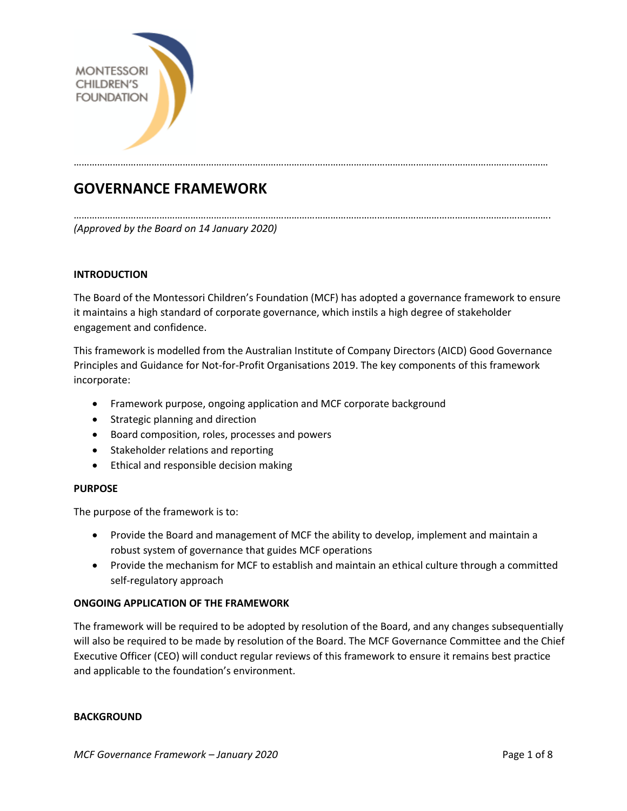

# **GOVERNANCE FRAMEWORK**

…………………………………………………………………………………………………………………………………………………………………. *(Approved by the Board on 14 January 2020)*

# **INTRODUCTION**

The Board of the Montessori Children's Foundation (MCF) has adopted a governance framework to ensure it maintains a high standard of corporate governance, which instils a high degree of stakeholder engagement and confidence.

…………………………………………………………………………………………………………………………………………………………………

This framework is modelled from the Australian Institute of Company Directors (AICD) Good Governance Principles and Guidance for Not-for-Profit Organisations 2019. The key components of this framework incorporate:

- Framework purpose, ongoing application and MCF corporate background
- Strategic planning and direction
- Board composition, roles, processes and powers
- Stakeholder relations and reporting
- Ethical and responsible decision making

## **PURPOSE**

The purpose of the framework is to:

- Provide the Board and management of MCF the ability to develop, implement and maintain a robust system of governance that guides MCF operations
- Provide the mechanism for MCF to establish and maintain an ethical culture through a committed self-regulatory approach

## **ONGOING APPLICATION OF THE FRAMEWORK**

The framework will be required to be adopted by resolution of the Board, and any changes subsequentially will also be required to be made by resolution of the Board. The MCF Governance Committee and the Chief Executive Officer (CEO) will conduct regular reviews of this framework to ensure it remains best practice and applicable to the foundation's environment.

#### **BACKGROUND**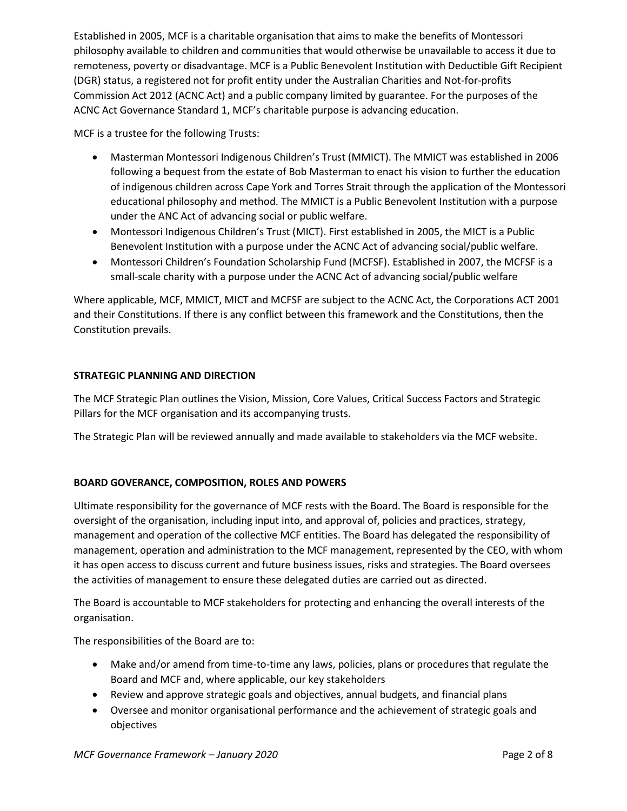Established in 2005, MCF is a charitable organisation that aims to make the benefits of Montessori philosophy available to children and communities that would otherwise be unavailable to access it due to remoteness, poverty or disadvantage. MCF is a Public Benevolent Institution with Deductible Gift Recipient (DGR) status, a registered not for profit entity under the Australian Charities and Not-for-profits Commission Act 2012 (ACNC Act) and a public company limited by guarantee. For the purposes of the ACNC Act Governance Standard 1, MCF's charitable purpose is advancing education.

MCF is a trustee for the following Trusts:

- Masterman Montessori Indigenous Children's Trust (MMICT). The MMICT was established in 2006 following a bequest from the estate of Bob Masterman to enact his vision to further the education of indigenous children across Cape York and Torres Strait through the application of the Montessori educational philosophy and method. The MMICT is a Public Benevolent Institution with a purpose under the ANC Act of advancing social or public welfare.
- Montessori Indigenous Children's Trust (MICT). First established in 2005, the MICT is a Public Benevolent Institution with a purpose under the ACNC Act of advancing social/public welfare.
- Montessori Children's Foundation Scholarship Fund (MCFSF). Established in 2007, the MCFSF is a small-scale charity with a purpose under the ACNC Act of advancing social/public welfare

Where applicable, MCF, MMICT, MICT and MCFSF are subject to the ACNC Act, the Corporations ACT 2001 and their Constitutions. If there is any conflict between this framework and the Constitutions, then the Constitution prevails.

# **STRATEGIC PLANNING AND DIRECTION**

The MCF Strategic Plan outlines the Vision, Mission, Core Values, Critical Success Factors and Strategic Pillars for the MCF organisation and its accompanying trusts.

The Strategic Plan will be reviewed annually and made available to stakeholders via the MCF website.

# **BOARD GOVERANCE, COMPOSITION, ROLES AND POWERS**

Ultimate responsibility for the governance of MCF rests with the Board. The Board is responsible for the oversight of the organisation, including input into, and approval of, policies and practices, strategy, management and operation of the collective MCF entities. The Board has delegated the responsibility of management, operation and administration to the MCF management, represented by the CEO, with whom it has open access to discuss current and future business issues, risks and strategies. The Board oversees the activities of management to ensure these delegated duties are carried out as directed.

The Board is accountable to MCF stakeholders for protecting and enhancing the overall interests of the organisation.

The responsibilities of the Board are to:

- Make and/or amend from time-to-time any laws, policies, plans or procedures that regulate the Board and MCF and, where applicable, our key stakeholders
- Review and approve strategic goals and objectives, annual budgets, and financial plans
- Oversee and monitor organisational performance and the achievement of strategic goals and objectives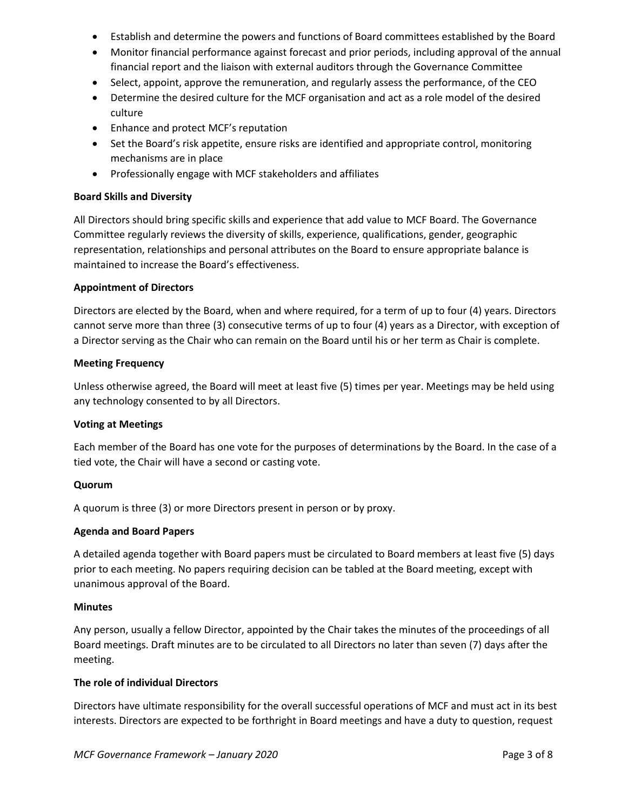- Establish and determine the powers and functions of Board committees established by the Board
- Monitor financial performance against forecast and prior periods, including approval of the annual financial report and the liaison with external auditors through the Governance Committee
- Select, appoint, approve the remuneration, and regularly assess the performance, of the CEO
- Determine the desired culture for the MCF organisation and act as a role model of the desired culture
- Enhance and protect MCF's reputation
- Set the Board's risk appetite, ensure risks are identified and appropriate control, monitoring mechanisms are in place
- Professionally engage with MCF stakeholders and affiliates

## **Board Skills and Diversity**

All Directors should bring specific skills and experience that add value to MCF Board. The Governance Committee regularly reviews the diversity of skills, experience, qualifications, gender, geographic representation, relationships and personal attributes on the Board to ensure appropriate balance is maintained to increase the Board's effectiveness.

## **Appointment of Directors**

Directors are elected by the Board, when and where required, for a term of up to four (4) years. Directors cannot serve more than three (3) consecutive terms of up to four (4) years as a Director, with exception of a Director serving as the Chair who can remain on the Board until his or her term as Chair is complete.

## **Meeting Frequency**

Unless otherwise agreed, the Board will meet at least five (5) times per year. Meetings may be held using any technology consented to by all Directors.

#### **Voting at Meetings**

Each member of the Board has one vote for the purposes of determinations by the Board. In the case of a tied vote, the Chair will have a second or casting vote.

#### **Quorum**

A quorum is three (3) or more Directors present in person or by proxy.

#### **Agenda and Board Papers**

A detailed agenda together with Board papers must be circulated to Board members at least five (5) days prior to each meeting. No papers requiring decision can be tabled at the Board meeting, except with unanimous approval of the Board.

#### **Minutes**

Any person, usually a fellow Director, appointed by the Chair takes the minutes of the proceedings of all Board meetings. Draft minutes are to be circulated to all Directors no later than seven (7) days after the meeting.

#### **The role of individual Directors**

Directors have ultimate responsibility for the overall successful operations of MCF and must act in its best interests. Directors are expected to be forthright in Board meetings and have a duty to question, request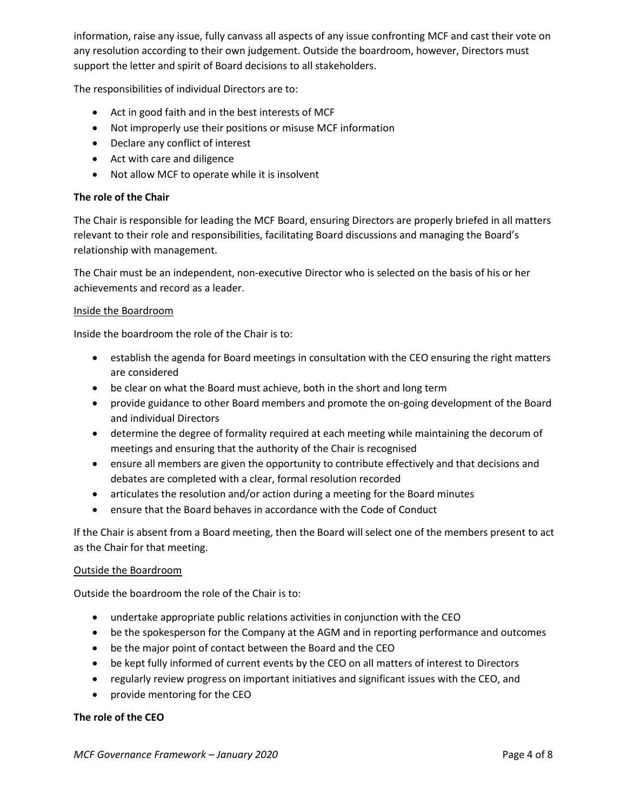information, raise any issue, fully canvass all aspects of any issue confronting MCF and cast their vote on any resolution according to their own judgement. Outside the boardroom, however, Directors must support the letter and spirit of Board decisions to all stakeholders.

The responsibilities of individual Directors are to:

- Act in good faith and in the best interests of MCF
- Not improperly use their positions or misuse MCF information
- Declare any conflict of interest
- Act with care and diligence
- Not allow MCF to operate while it is insolvent

## **The role of the Chair**

The Chair is responsible for leading the MCF Board, ensuring Directors are properly briefed in all matters relevant to their role and responsibilities, facilitating Board discussions and managing the Board's relationship with management.

The Chair must be an independent, non-executive Director who is selected on the basis of his or her achievements and record as a leader.

#### Inside the Boardroom

Inside the boardroom the role of the Chair is to:

- establish the agenda for Board meetings in consultation with the CEO ensuring the right matters are considered
- be clear on what the Board must achieve, both in the short and long term
- provide guidance to other Board members and promote the on-going development of the Board and individual Directors
- determine the degree of formality required at each meeting while maintaining the decorum of meetings and ensuring that the authority of the Chair is recognised
- ensure all members are given the opportunity to contribute effectively and that decisions and debates are completed with a clear, formal resolution recorded
- articulates the resolution and/or action during a meeting for the Board minutes
- ensure that the Board behaves in accordance with the Code of Conduct

If the Chair is absent from a Board meeting, then the Board will select one of the members present to act as the Chair for that meeting.

#### Outside the Boardroom

Outside the boardroom the role of the Chair is to:

- undertake appropriate public relations activities in conjunction with the CEO
- be the spokesperson for the Company at the AGM and in reporting performance and outcomes
- be the major point of contact between the Board and the CEO
- be kept fully informed of current events by the CEO on all matters of interest to Directors
- regularly review progress on important initiatives and significant issues with the CEO, and
- provide mentoring for the CEO

## **The role of the CEO**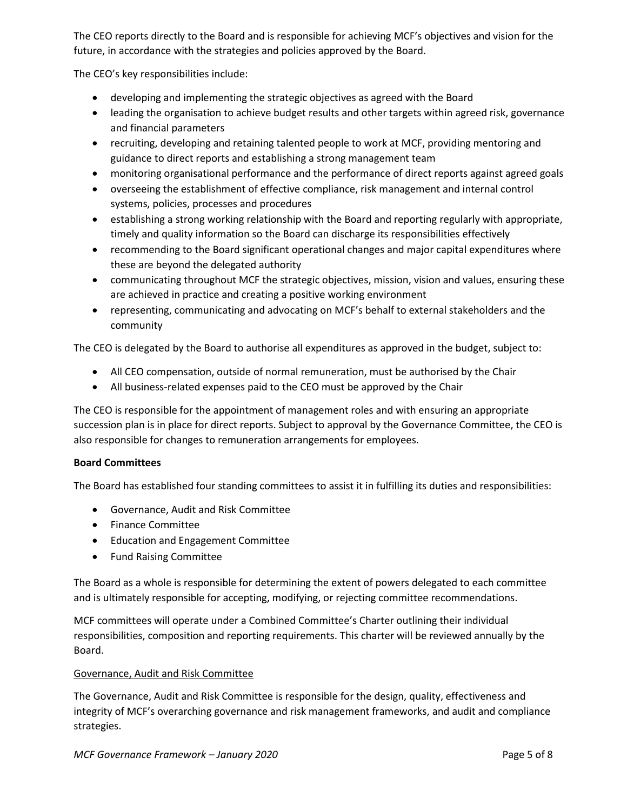The CEO reports directly to the Board and is responsible for achieving MCF's objectives and vision for the future, in accordance with the strategies and policies approved by the Board.

The CEO's key responsibilities include:

- developing and implementing the strategic objectives as agreed with the Board
- leading the organisation to achieve budget results and other targets within agreed risk, governance and financial parameters
- recruiting, developing and retaining talented people to work at MCF, providing mentoring and guidance to direct reports and establishing a strong management team
- monitoring organisational performance and the performance of direct reports against agreed goals
- overseeing the establishment of effective compliance, risk management and internal control systems, policies, processes and procedures
- establishing a strong working relationship with the Board and reporting regularly with appropriate, timely and quality information so the Board can discharge its responsibilities effectively
- recommending to the Board significant operational changes and major capital expenditures where these are beyond the delegated authority
- communicating throughout MCF the strategic objectives, mission, vision and values, ensuring these are achieved in practice and creating a positive working environment
- representing, communicating and advocating on MCF's behalf to external stakeholders and the community

The CEO is delegated by the Board to authorise all expenditures as approved in the budget, subject to:

- All CEO compensation, outside of normal remuneration, must be authorised by the Chair
- All business-related expenses paid to the CEO must be approved by the Chair

The CEO is responsible for the appointment of management roles and with ensuring an appropriate succession plan is in place for direct reports. Subject to approval by the Governance Committee, the CEO is also responsible for changes to remuneration arrangements for employees.

## **Board Committees**

The Board has established four standing committees to assist it in fulfilling its duties and responsibilities:

- Governance, Audit and Risk Committee
- Finance Committee
- Education and Engagement Committee
- Fund Raising Committee

The Board as a whole is responsible for determining the extent of powers delegated to each committee and is ultimately responsible for accepting, modifying, or rejecting committee recommendations.

MCF committees will operate under a Combined Committee's Charter outlining their individual responsibilities, composition and reporting requirements. This charter will be reviewed annually by the Board.

## Governance, Audit and Risk Committee

The Governance, Audit and Risk Committee is responsible for the design, quality, effectiveness and integrity of MCF's overarching governance and risk management frameworks, and audit and compliance strategies.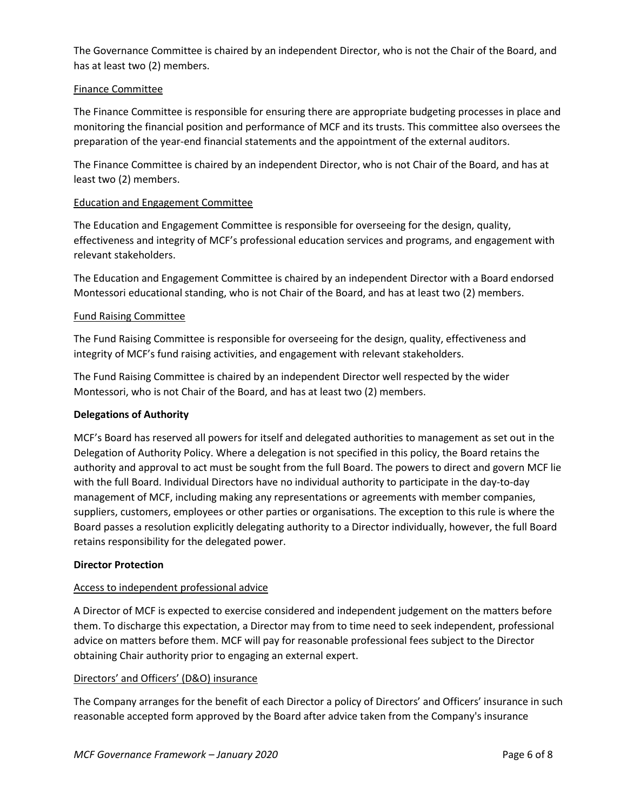The Governance Committee is chaired by an independent Director, who is not the Chair of the Board, and has at least two (2) members.

## Finance Committee

The Finance Committee is responsible for ensuring there are appropriate budgeting processes in place and monitoring the financial position and performance of MCF and its trusts. This committee also oversees the preparation of the year-end financial statements and the appointment of the external auditors.

The Finance Committee is chaired by an independent Director, who is not Chair of the Board, and has at least two (2) members.

#### Education and Engagement Committee

The Education and Engagement Committee is responsible for overseeing for the design, quality, effectiveness and integrity of MCF's professional education services and programs, and engagement with relevant stakeholders.

The Education and Engagement Committee is chaired by an independent Director with a Board endorsed Montessori educational standing, who is not Chair of the Board, and has at least two (2) members.

## Fund Raising Committee

The Fund Raising Committee is responsible for overseeing for the design, quality, effectiveness and integrity of MCF's fund raising activities, and engagement with relevant stakeholders.

The Fund Raising Committee is chaired by an independent Director well respected by the wider Montessori, who is not Chair of the Board, and has at least two (2) members.

#### **Delegations of Authority**

MCF's Board has reserved all powers for itself and delegated authorities to management as set out in the Delegation of Authority Policy. Where a delegation is not specified in this policy, the Board retains the authority and approval to act must be sought from the full Board. The powers to direct and govern MCF lie with the full Board. Individual Directors have no individual authority to participate in the day-to-day management of MCF, including making any representations or agreements with member companies, suppliers, customers, employees or other parties or organisations. The exception to this rule is where the Board passes a resolution explicitly delegating authority to a Director individually, however, the full Board retains responsibility for the delegated power.

#### **Director Protection**

## Access to independent professional advice

A Director of MCF is expected to exercise considered and independent judgement on the matters before them. To discharge this expectation, a Director may from to time need to seek independent, professional advice on matters before them. MCF will pay for reasonable professional fees subject to the Director obtaining Chair authority prior to engaging an external expert.

#### Directors' and Officers' (D&O) insurance

The Company arranges for the benefit of each Director a policy of Directors' and Officers' insurance in such reasonable accepted form approved by the Board after advice taken from the Company's insurance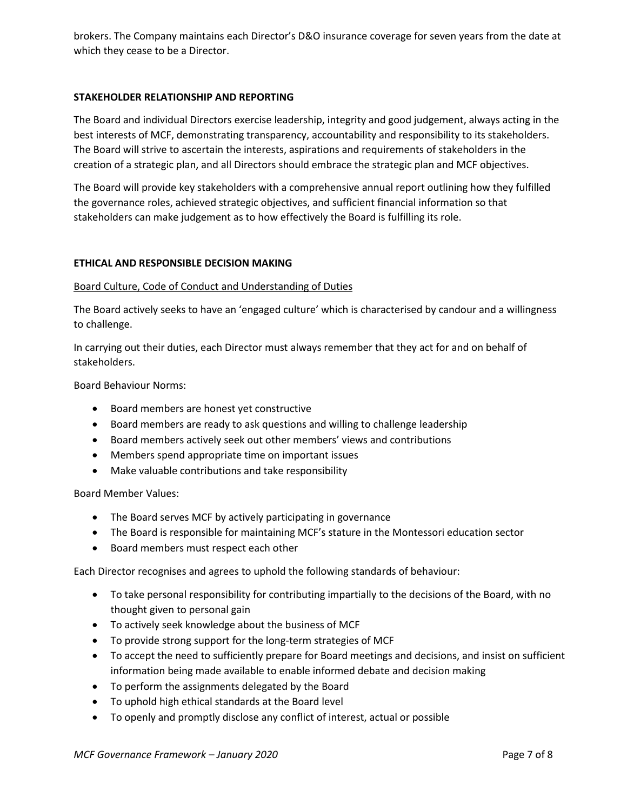brokers. The Company maintains each Director's D&O insurance coverage for seven years from the date at which they cease to be a Director.

## **STAKEHOLDER RELATIONSHIP AND REPORTING**

The Board and individual Directors exercise leadership, integrity and good judgement, always acting in the best interests of MCF, demonstrating transparency, accountability and responsibility to its stakeholders. The Board will strive to ascertain the interests, aspirations and requirements of stakeholders in the creation of a strategic plan, and all Directors should embrace the strategic plan and MCF objectives.

The Board will provide key stakeholders with a comprehensive annual report outlining how they fulfilled the governance roles, achieved strategic objectives, and sufficient financial information so that stakeholders can make judgement as to how effectively the Board is fulfilling its role.

## **ETHICAL AND RESPONSIBLE DECISION MAKING**

## Board Culture, Code of Conduct and Understanding of Duties

The Board actively seeks to have an 'engaged culture' which is characterised by candour and a willingness to challenge.

In carrying out their duties, each Director must always remember that they act for and on behalf of stakeholders.

Board Behaviour Norms:

- Board members are honest yet constructive
- Board members are ready to ask questions and willing to challenge leadership
- Board members actively seek out other members' views and contributions
- Members spend appropriate time on important issues
- Make valuable contributions and take responsibility

Board Member Values:

- The Board serves MCF by actively participating in governance
- The Board is responsible for maintaining MCF's stature in the Montessori education sector
- Board members must respect each other

Each Director recognises and agrees to uphold the following standards of behaviour:

- To take personal responsibility for contributing impartially to the decisions of the Board, with no thought given to personal gain
- To actively seek knowledge about the business of MCF
- To provide strong support for the long-term strategies of MCF
- To accept the need to sufficiently prepare for Board meetings and decisions, and insist on sufficient information being made available to enable informed debate and decision making
- To perform the assignments delegated by the Board
- To uphold high ethical standards at the Board level
- To openly and promptly disclose any conflict of interest, actual or possible